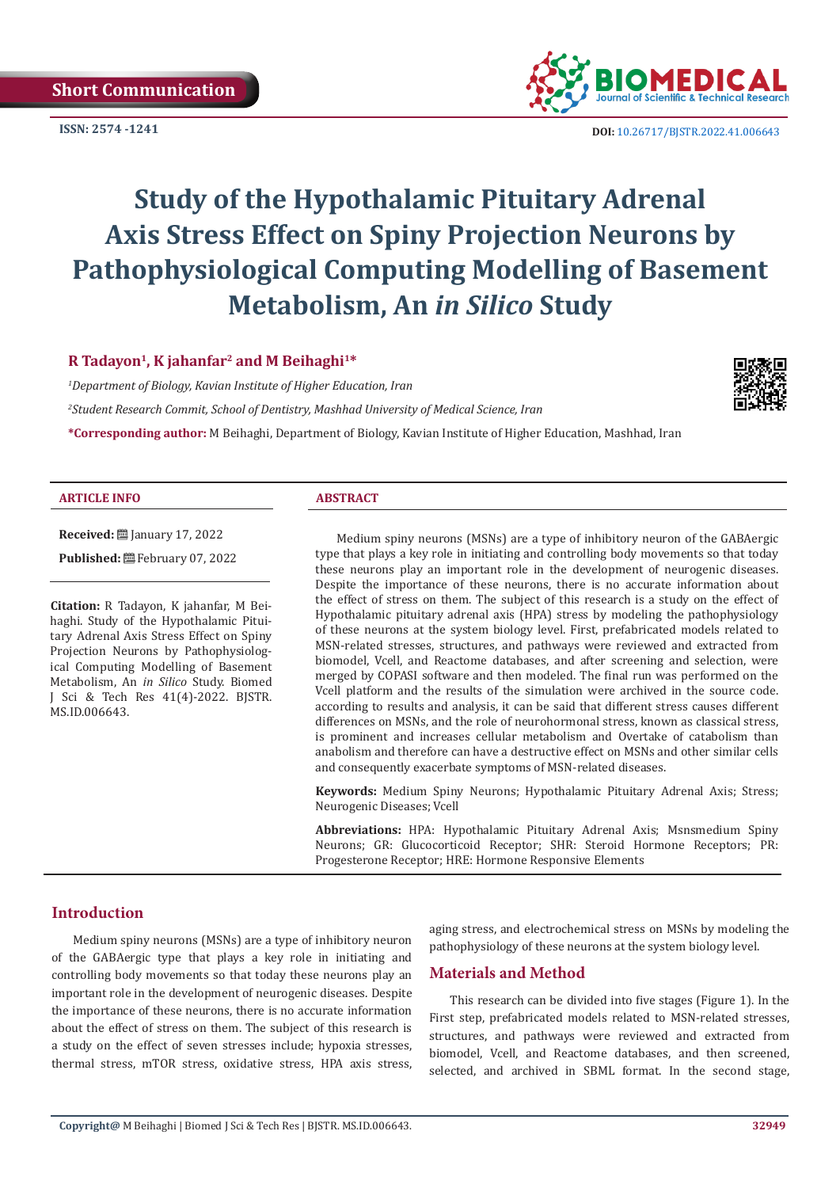

**ISSN:** 2574 -1241 **DOI:** [10.26717/BJSTR.2022.41.0066](https://dx.doi.org/10.26717/BJSTR.2022.41.006643)43

# **Study of the Hypothalamic Pituitary Adrenal Axis Stress Effect on Spiny Projection Neurons by Pathophysiological Computing Modelling of Basement Metabolism, An** *in Silico* **Study**

# **R Tadayon1, K jahanfar2 and M Beihaghi1\***

*1 Department of Biology, Kavian Institute of Higher Education, Iran 2 Student Research Commit, School of Dentistry, Mashhad University of Medical Science, Iran*

**\*Corresponding author:** M Beihaghi, Department of Biology, Kavian Institute of Higher Education, Mashhad, Iran

#### **ARTICLE INFO ABSTRACT**

**Received:** ■ January 17, 2022

**Published:** February 07, 2022

**Citation:** R Tadayon, K jahanfar, M Beihaghi. Study of the Hypothalamic Pituitary Adrenal Axis Stress Effect on Spiny Projection Neurons by Pathophysiological Computing Modelling of Basement Metabolism, An *in Silico* Study. Biomed J Sci & Tech Res 41(4)-2022. BJSTR. MS.ID.006643.

Medium spiny neurons (MSNs) are a type of inhibitory neuron of the GABAergic type that plays a key role in initiating and controlling body movements so that today these neurons play an important role in the development of neurogenic diseases. Despite the importance of these neurons, there is no accurate information about the effect of stress on them. The subject of this research is a study on the effect of Hypothalamic pituitary adrenal axis (HPA) stress by modeling the pathophysiology of these neurons at the system biology level. First, prefabricated models related to MSN-related stresses, structures, and pathways were reviewed and extracted from biomodel, Vcell, and Reactome databases, and after screening and selection, were merged by COPASI software and then modeled. The final run was performed on the Vcell platform and the results of the simulation were archived in the source code. according to results and analysis, it can be said that different stress causes different differences on MSNs, and the role of neurohormonal stress, known as classical stress, is prominent and increases cellular metabolism and Overtake of catabolism than anabolism and therefore can have a destructive effect on MSNs and other similar cells and consequently exacerbate symptoms of MSN-related diseases.

**Keywords:** Medium Spiny Neurons; Hypothalamic Pituitary Adrenal Axis; Stress; Neurogenic Diseases; Vcell

**Abbreviations:** HPA: Hypothalamic Pituitary Adrenal Axis; Msnsmedium Spiny Neurons; GR: Glucocorticoid Receptor; SHR: Steroid Hormone Receptors; PR: Progesterone Receptor; HRE: Hormone Responsive Elements

# **Introduction**

Medium spiny neurons (MSNs) are a type of inhibitory neuron of the GABAergic type that plays a key role in initiating and controlling body movements so that today these neurons play an important role in the development of neurogenic diseases. Despite the importance of these neurons, there is no accurate information about the effect of stress on them. The subject of this research is a study on the effect of seven stresses include; hypoxia stresses, thermal stress, mTOR stress, oxidative stress, HPA axis stress,

aging stress, and electrochemical stress on MSNs by modeling the pathophysiology of these neurons at the system biology level.

# **Materials and Method**

This research can be divided into five stages (Figure 1). In the First step, prefabricated models related to MSN-related stresses, structures, and pathways were reviewed and extracted from biomodel, Vcell, and Reactome databases, and then screened, selected, and archived in SBML format. In the second stage,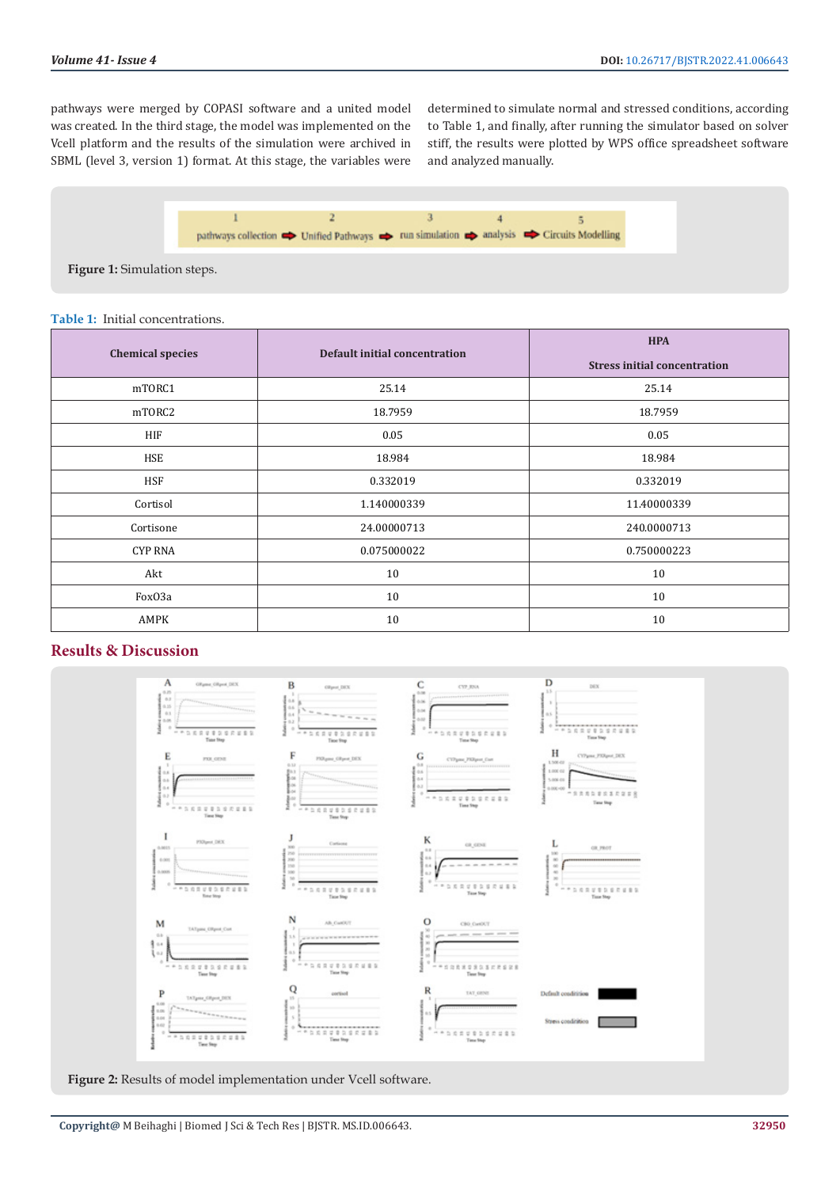pathways were merged by COPASI software and a united model was created. In the third stage, the model was implemented on the Vcell platform and the results of the simulation were archived in SBML (level 3, version 1) format. At this stage, the variables were determined to simulate normal and stressed conditions, according to Table 1, and finally, after running the simulator based on solver stiff, the results were plotted by WPS office spreadsheet software and analyzed manually.



**Figure 1:** Simulation steps.

#### **Table 1:** Initial concentrations.

| <b>Chemical species</b> | Default initial concentration | <b>HPA</b><br><b>Stress initial concentration</b> |
|-------------------------|-------------------------------|---------------------------------------------------|
| mTORC1                  | 25.14                         | 25.14                                             |
| mTORC2                  | 18.7959                       | 18.7959                                           |
| HIF                     | 0.05                          | 0.05                                              |
| HSE                     | 18.984                        | 18.984                                            |
| <b>HSF</b>              | 0.332019                      | 0.332019                                          |
| Cortisol                | 1.140000339                   | 11.40000339                                       |
| Cortisone               | 24.00000713                   | 240.0000713                                       |
| <b>CYP RNA</b>          | 0.075000022                   | 0.750000223                                       |
| Akt                     | 10                            | 10                                                |
| FoxO3a                  | 10                            | 10                                                |
| AMPK                    | 10                            | 10                                                |

# **Results & Discussion**



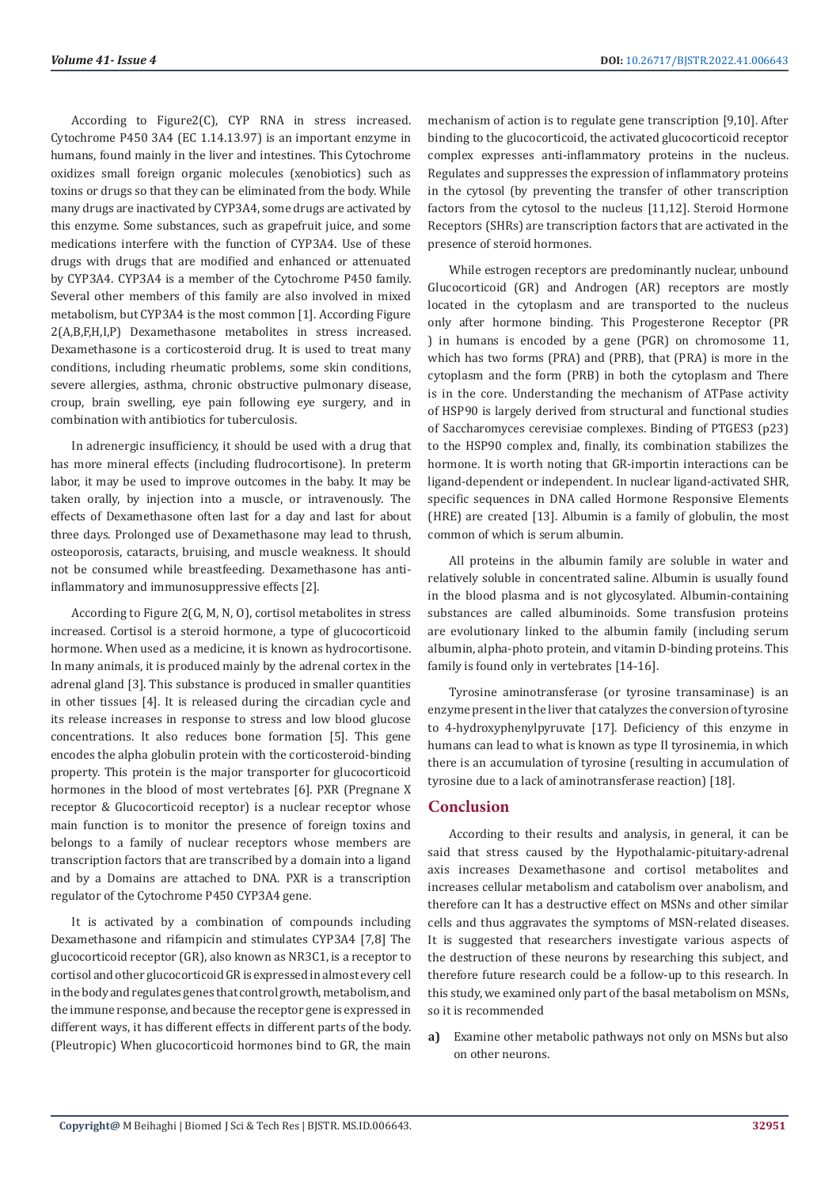According to Figure2(C), CYP RNA in stress increased. Cytochrome P450 3A4 (EC 1.14.13.97) is an important enzyme in humans, found mainly in the liver and intestines. This Cytochrome oxidizes small foreign organic molecules (xenobiotics) such as toxins or drugs so that they can be eliminated from the body. While many drugs are inactivated by CYP3A4, some drugs are activated by this enzyme. Some substances, such as grapefruit juice, and some medications interfere with the function of CYP3A4. Use of these drugs with drugs that are modified and enhanced or attenuated by CYP3A4. CYP3A4 is a member of the Cytochrome P450 family. Several other members of this family are also involved in mixed metabolism, but CYP3A4 is the most common [1]. According Figure 2(A,B,F,H,I,P) Dexamethasone metabolites in stress increased. Dexamethasone is a corticosteroid drug. It is used to treat many conditions, including rheumatic problems, some skin conditions, severe allergies, asthma, chronic obstructive pulmonary disease, croup, brain swelling, eye pain following eye surgery, and in combination with antibiotics for tuberculosis.

In adrenergic insufficiency, it should be used with a drug that has more mineral effects (including fludrocortisone). In preterm labor, it may be used to improve outcomes in the baby. It may be taken orally, by injection into a muscle, or intravenously. The effects of Dexamethasone often last for a day and last for about three days. Prolonged use of Dexamethasone may lead to thrush, osteoporosis, cataracts, bruising, and muscle weakness. It should not be consumed while breastfeeding. Dexamethasone has antiinflammatory and immunosuppressive effects [2].

According to Figure 2(G, M, N, O), cortisol metabolites in stress increased. Cortisol is a steroid hormone, a type of glucocorticoid hormone. When used as a medicine, it is known as hydrocortisone. In many animals, it is produced mainly by the adrenal cortex in the adrenal gland [3]. This substance is produced in smaller quantities in other tissues [4]. It is released during the circadian cycle and its release increases in response to stress and low blood glucose concentrations. It also reduces bone formation [5]. This gene encodes the alpha globulin protein with the corticosteroid-binding property. This protein is the major transporter for glucocorticoid hormones in the blood of most vertebrates [6]. PXR (Pregnane X receptor & Glucocorticoid receptor) is a nuclear receptor whose main function is to monitor the presence of foreign toxins and belongs to a family of nuclear receptors whose members are transcription factors that are transcribed by a domain into a ligand and by a Domains are attached to DNA. PXR is a transcription regulator of the Cytochrome P450 CYP3A4 gene.

It is activated by a combination of compounds including Dexamethasone and rifampicin and stimulates CYP3A4 [7,8] The glucocorticoid receptor (GR), also known as NR3C1, is a receptor to cortisol and other glucocorticoid GR is expressed in almost every cell in the body and regulates genes that control growth, metabolism, and the immune response, and because the receptor gene is expressed in different ways, it has different effects in different parts of the body. (Pleutropic) When glucocorticoid hormones bind to GR, the main

mechanism of action is to regulate gene transcription [9,10]. After binding to the glucocorticoid, the activated glucocorticoid receptor complex expresses anti-inflammatory proteins in the nucleus. Regulates and suppresses the expression of inflammatory proteins in the cytosol (by preventing the transfer of other transcription factors from the cytosol to the nucleus [11,12]. Steroid Hormone Receptors (SHRs) are transcription factors that are activated in the presence of steroid hormones.

While estrogen receptors are predominantly nuclear, unbound Glucocorticoid (GR) and Androgen (AR) receptors are mostly located in the cytoplasm and are transported to the nucleus only after hormone binding. This Progesterone Receptor (PR ) in humans is encoded by a gene (PGR) on chromosome 11, which has two forms (PRA) and (PRB), that (PRA) is more in the cytoplasm and the form (PRB) in both the cytoplasm and There is in the core. Understanding the mechanism of ATPase activity of HSP90 is largely derived from structural and functional studies of Saccharomyces cerevisiae complexes. Binding of PTGES3 (p23) to the HSP90 complex and, finally, its combination stabilizes the hormone. It is worth noting that GR-importin interactions can be ligand-dependent or independent. In nuclear ligand-activated SHR, specific sequences in DNA called Hormone Responsive Elements (HRE) are created [13]. Albumin is a family of globulin, the most common of which is serum albumin.

All proteins in the albumin family are soluble in water and relatively soluble in concentrated saline. Albumin is usually found in the blood plasma and is not glycosylated. Albumin-containing substances are called albuminoids. Some transfusion proteins are evolutionary linked to the albumin family (including serum albumin, alpha-photo protein, and vitamin D-binding proteins. This family is found only in vertebrates [14-16].

Tyrosine aminotransferase (or tyrosine transaminase) is an enzyme present in the liver that catalyzes the conversion of tyrosine to 4-hydroxyphenylpyruvate [17]. Deficiency of this enzyme in humans can lead to what is known as type II tyrosinemia, in which there is an accumulation of tyrosine (resulting in accumulation of tyrosine due to a lack of aminotransferase reaction) [18].

# **Conclusion**

According to their results and analysis, in general, it can be said that stress caused by the Hypothalamic-pituitary-adrenal axis increases Dexamethasone and cortisol metabolites and increases cellular metabolism and catabolism over anabolism, and therefore can It has a destructive effect on MSNs and other similar cells and thus aggravates the symptoms of MSN-related diseases. It is suggested that researchers investigate various aspects of the destruction of these neurons by researching this subject, and therefore future research could be a follow-up to this research. In this study, we examined only part of the basal metabolism on MSNs, so it is recommended

**a)** Examine other metabolic pathways not only on MSNs but also on other neurons.